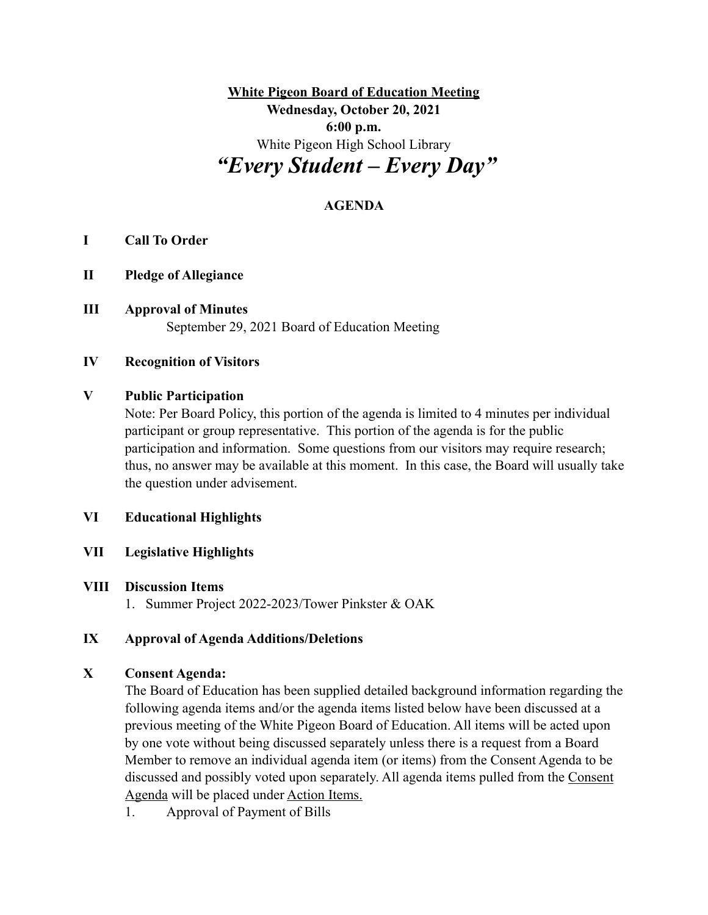**White Pigeon Board of Education Meeting Wednesday, October 20, 2021 6:00 p.m.** White Pigeon High School Library  *"Every Student – Every Day"*

# **AGENDA**

#### **I Call To Order**

- **II Pledge of Allegiance**
- **III Approval of Minutes** September 29, 2021 Board of Education Meeting

### **IV Recognition of Visitors**

### **V Public Participation**

Note: Per Board Policy, this portion of the agenda is limited to 4 minutes per individual participant or group representative. This portion of the agenda is for the public participation and information. Some questions from our visitors may require research; thus, no answer may be available at this moment. In this case, the Board will usually take the question under advisement.

#### **VI Educational Highlights**

**VII Legislative Highlights**

#### **VIII Discussion Items**

1. Summer Project 2022-2023/Tower Pinkster & OAK

### **IX Approval of Agenda Additions/Deletions**

#### **X Consent Agenda:**

The Board of Education has been supplied detailed background information regarding the following agenda items and/or the agenda items listed below have been discussed at a previous meeting of the White Pigeon Board of Education. All items will be acted upon by one vote without being discussed separately unless there is a request from a Board Member to remove an individual agenda item (or items) from the Consent Agenda to be discussed and possibly voted upon separately. All agenda items pulled from the Consent Agenda will be placed under Action Items.

1. Approval of Payment of Bills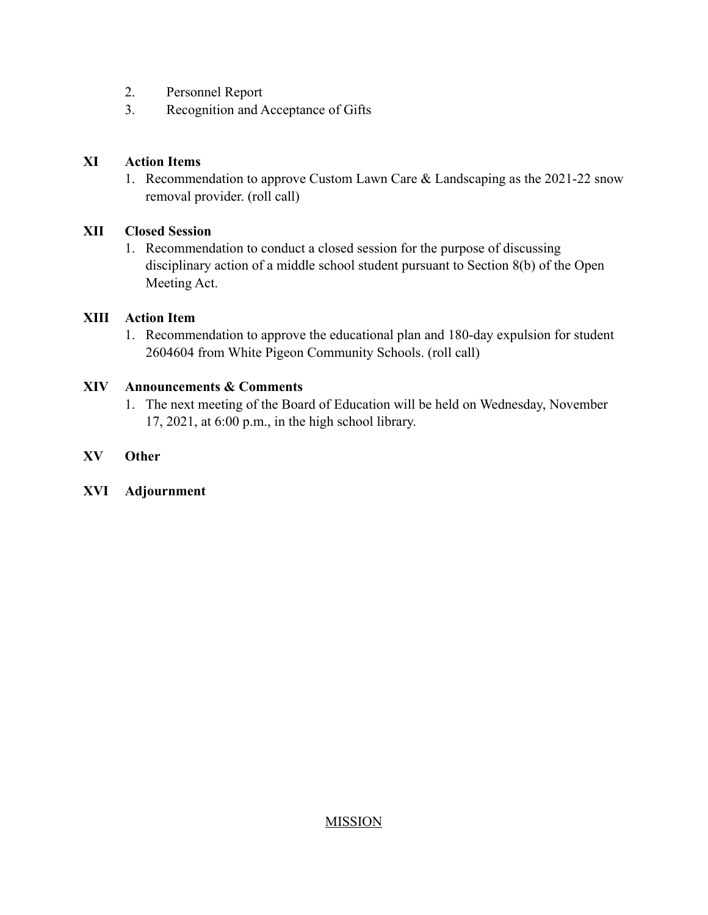- 2. Personnel Report
- 3. Recognition and Acceptance of Gifts

### **XI Action Items**

1. Recommendation to approve Custom Lawn Care & Landscaping as the 2021-22 snow removal provider. (roll call)

# **XII Closed Session**

1. Recommendation to conduct a closed session for the purpose of discussing disciplinary action of a middle school student pursuant to Section 8(b) of the Open Meeting Act.

# **XIII Action Item**

1. Recommendation to approve the educational plan and 180-day expulsion for student 2604604 from White Pigeon Community Schools. (roll call)

# **XIV Announcements & Comments**

1. The next meeting of the Board of Education will be held on Wednesday, November 17, 2021, at 6:00 p.m., in the high school library.

# **XV Other**

**XVI Adjournment**

### **MISSION**